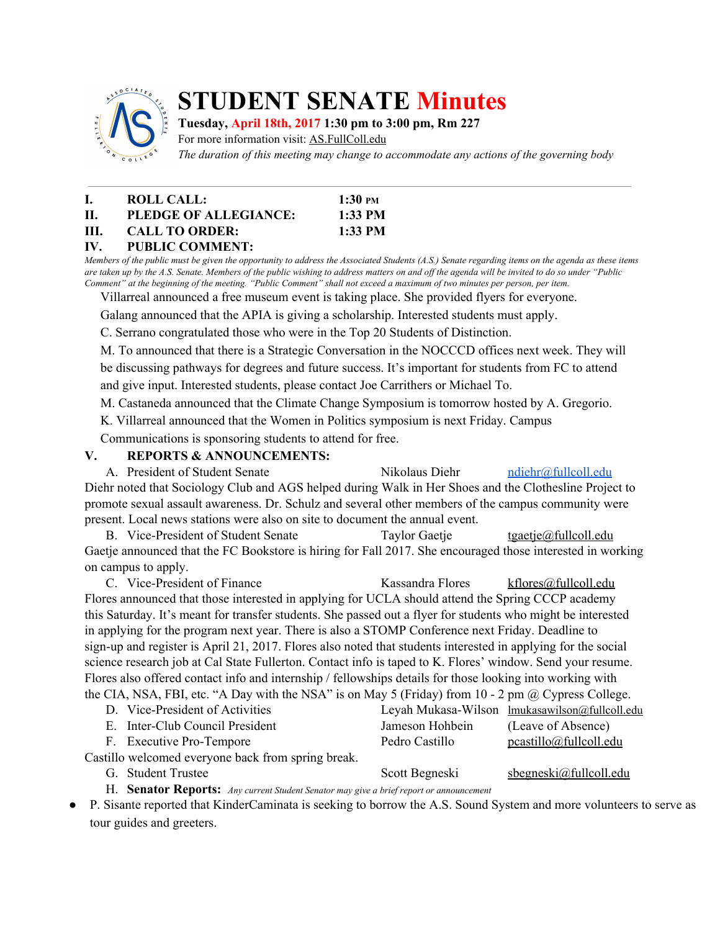

# **STUDENT SENATE Minutes**

# **Tuesday, April 18th, 2017 1:30 pm to 3:00 pm, Rm 227**

For more information visit: AS.FullColl.edu

*The duration of this meeting may change to accommodate any actions of the governing body*

|              | <b>ROLL CALL:</b>           | $1:30 \text{ }$ PM |
|--------------|-----------------------------|--------------------|
| H.           | PLEDGE OF ALLEGIANCE:       | $1:33$ PM          |
| III.         | <b>CALL TO ORDER:</b>       | $1:33$ PM          |
| $\mathbf{v}$ | <b>BEIRE FALAAR ELEBIRU</b> |                    |

**IV. PUBLIC COMMENT:**

Members of the public must be given the opportunity to address the Associated Students (A.S.) Senate regarding items on the agenda as these items are taken up by the A.S. Senate. Members of the public wishing to address matters on and off the agenda will be invited to do so under "Public Comment" at the beginning of the meeting. "Public Comment" shall not exceed a maximum of two minutes per person, per item.

Villarreal announced a free museum event is taking place. She provided flyers for everyone.

Galang announced that the APIA is giving a scholarship. Interested students must apply.

C. Serrano congratulated those who were in the Top 20 Students of Distinction.

M. To announced that there is a Strategic Conversation in the NOCCCD offices next week. They will

be discussing pathways for degrees and future success. It's important for students from FC to attend and give input. Interested students, please contact Joe Carrithers or Michael To.

M. Castaneda announced that the Climate Change Symposium is tomorrow hosted by A. Gregorio.

K. Villarreal announced that the Women in Politics symposium is next Friday. Campus

Communications is sponsoring students to attend for free.

#### **V. REPORTS & ANNOUNCEMENTS:**

A. President of Student Senate Nikolaus Diehr [ndiehr@fullcoll.edu](mailto:ndiehr@fullcoll.edu) Diehr noted that Sociology Club and AGS helped during Walk in Her Shoes and the Clothesline Project to promote sexual assault awareness. Dr. Schulz and several other members of the campus community were present. Local news stations were also on site to document the annual event.

B. Vice-President of Student Senate Taylor Gaetje [tgaetje@fullcoll.edu](mailto:tgaetje@fullcoll.edu) Gaetje announced that the FC Bookstore is hiring for Fall 2017. She encouraged those interested in working on campus to apply.

C. Vice-President of Finance Kassandra Flores [kflores@fullcoll.edu](mailto:kflores@fullcoll.edu) Flores announced that those interested in applying for UCLA should attend the Spring CCCP academy this Saturday. It's meant for transfer students. She passed out a flyer for students who might be interested in applying for the program next year. There is also a STOMP Conference next Friday. Deadline to sign-up and register is April 21, 2017. Flores also noted that students interested in applying for the social science research job at Cal State Fullerton. Contact info is taped to K. Flores' window. Send your resume. Flores also offered contact info and internship / fellowships details for those looking into working with the CIA, NSA, FBI, etc. "A Day with the NSA" is on May 5 (Friday) from 10 - 2 pm  $\omega$  Cypress College.

| D. Vice-President of Activities                    |                 | Leyah Mukasa-Wilson lmukasawilson@fullcoll.edu |
|----------------------------------------------------|-----------------|------------------------------------------------|
| E. Inter-Club Council President                    | Jameson Hohbein | (Leave of Absence)                             |
| F. Executive Pro-Tempore                           | Pedro Castillo  | pcastillo@fullcoll.edu                         |
| Castillo welcomed everyone back from spring break. |                 |                                                |
| G. Student Trustee                                 | Scott Begneski  | $s$ begneski@fullcoll.edu                      |

H. **Senator Reports:** *Any current Student Senator may give <sup>a</sup> brief report or announcement*

● P. Sisante reported that KinderCaminata is seeking to borrow the A.S. Sound System and more volunteers to serve as tour guides and greeters.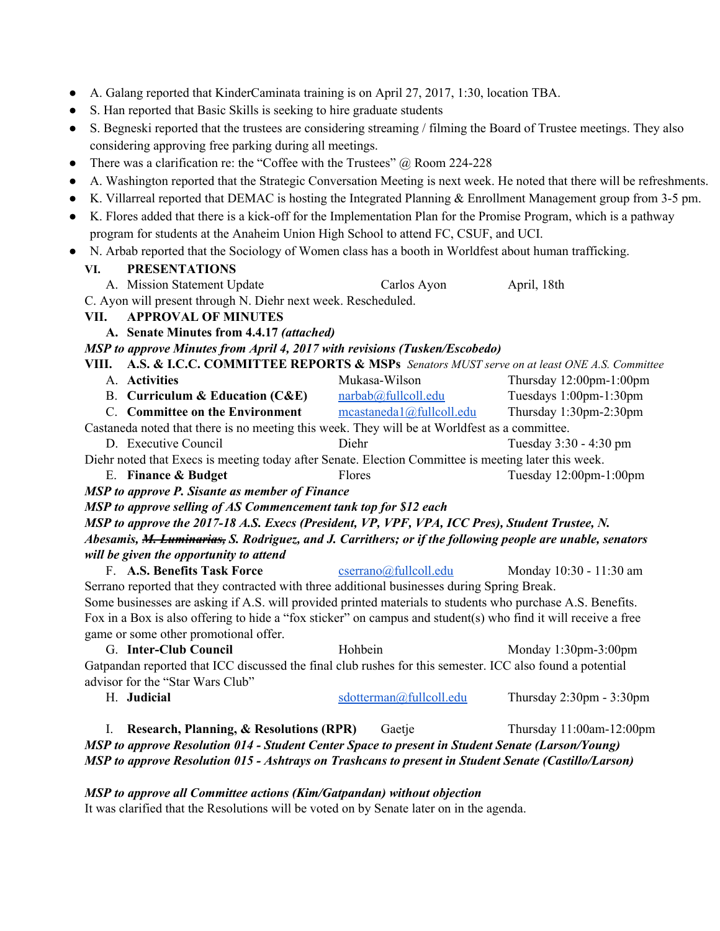- A. Galang reported that KinderCaminata training is on April 27, 2017, 1:30, location TBA.
- S. Han reported that Basic Skills is seeking to hire graduate students
- S. Begneski reported that the trustees are considering streaming / filming the Board of Trustee meetings. They also considering approving free parking during all meetings.
- There was a clarification re: the "Coffee with the Trustees"  $\omega$  Room 224-228
- A. Washington reported that the Strategic Conversation Meeting is next week. He noted that there will be refreshments.
- K. Villarreal reported that DEMAC is hosting the Integrated Planning & Enrollment Management group from 3-5 pm.
- K. Flores added that there is a kick-off for the Implementation Plan for the Promise Program, which is a pathway program for students at the Anaheim Union High School to attend FC, CSUF, and UCI.
- N. Arbab reported that the Sociology of Women class has a booth in Worldfest about human trafficking.

# **VI. PRESENTATIONS**

A. Mission Statement Update Carlos Ayon April, 18th

C. Ayon will present through N. Diehr next week. Rescheduled.

# **VII. APPROVAL OF MINUTES**

**A. Senate Minutes from 4.4.17** *(attached)*

*MSP to approve Minutes from April 4, 2017 with revisions (Tusken/Escobedo)*

- **VIII. A.S. & I.C.C. COMMITTEE REPORTS & MSPs** *Senators MUST serve on at least ONE A.S. Committee* A. **Activities** Mukasa-Wilson Thursday 12:00pm-1:00pm B. **Curriculum & Education (C&E)** [narbab@fullcoll.edu](mailto:narbab@fullcoll.edu) Tuesdays 1:00pm-1:30pm C. **Committee on the Environment** [mcastaneda1@fullcoll.edu](mailto:mcastaneda1@fullcoll.edu) Thursday 1:30pm-2:30pm Castaneda noted that there is no meeting this week. They will be at Worldfest as a committee. D. Executive Council Diehr Diehr Tuesday 3:30 - 4:30 pm
- Diehr noted that Execs is meeting today after Senate. Election Committee is meeting later this week.
- E. **Finance & Budget** Flores Tuesday 12:00pm-1:00pm

# *MSP to approve P. Sisante as member of Finance*

*MSP to approve selling of AS Commencement tank top for \$12 each*

*MSP to approve the 2017-18 A.S. Execs (President, VP, VPF, VPA, ICC Pres), Student Trustee, N. Abesamis, M. Luminarias, S. Rodriguez, and J. Carrithers; or if the following people are unable, senators will be given the opportunity to attend*

F. **A.S. Benefits Task Force** [cserrano@fullcoll.edu](mailto:cserrano@fullcoll.edu) Monday 10:30 - 11:30 am Serrano reported that they contracted with three additional businesses during Spring Break. Some businesses are asking if A.S. will provided printed materials to students who purchase A.S. Benefits. Fox in a Box is also offering to hide a "fox sticker" on campus and student(s) who find it will receive a free game or some other promotional offer.

G. **Inter-Club Council Council** Hohbein **Monday 1:30pm-3:00pm** Gatpandan reported that ICC discussed the final club rushes for this semester. ICC also found a potential advisor for the "Star Wars Club"

H. **Judicial** [sdotterman@fullcoll.edu](mailto:sdotterman@fullcoll.edu) Thursday 2:30pm - 3:30pm

# I. **Research, Planning, & Resolutions (RPR)** Gaetje Thursday 11:00am-12:00pm *MSP to approve Resolution 014 - Student Center Space to present in Student Senate (Larson/Young) MSP to approve Resolution 015 - Ashtrays on Trashcans to present in Student Senate (Castillo/Larson)*

*MSP to approve all Committee actions (Kim/Gatpandan) without objection* It was clarified that the Resolutions will be voted on by Senate later on in the agenda.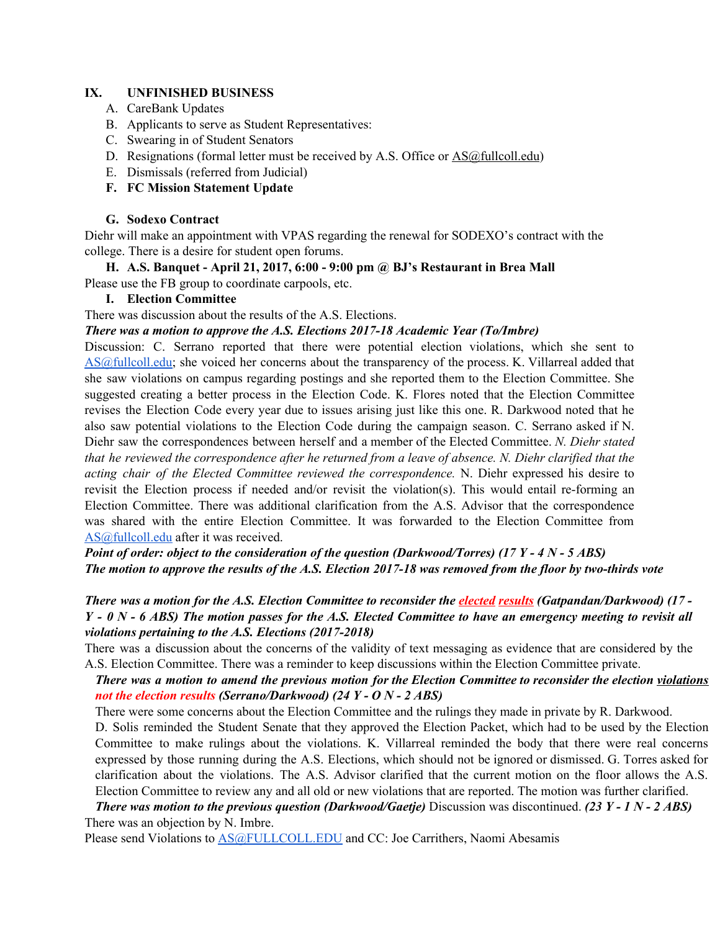#### **IX. UNFINISHED BUSINESS**

- A. CareBank Updates
- B. Applicants to serve as Student Representatives:
- C. Swearing in of Student Senators
- D. Resignations (formal letter must be received by A.S. Office or [AS@fullcoll.edu\)](mailto:AS@fullcoll.edu)
- E. Dismissals (referred from Judicial)
- **F. FC Mission Statement Update**

# **G. Sodexo Contract**

Diehr will make an appointment with VPAS regarding the renewal for SODEXO's contract with the college. There is a desire for student open forums.

#### **H. A.S. Banquet - April 21, 2017, 6:00 - 9:00 pm @ BJ's Restaurant in Brea Mall**

Please use the FB group to coordinate carpools, etc.

#### **I. Election Committee**

There was discussion about the results of the A.S. Elections.

# *There was a motion to approve the A.S. Elections 2017-18 Academic Year (To/Imbre)*

Discussion: C. Serrano reported that there were potential election violations, which she sent to [AS@fullcoll.edu;](mailto:AS@fullcoll.edu) she voiced her concerns about the transparency of the process. K. Villarreal added that she saw violations on campus regarding postings and she reported them to the Election Committee. She suggested creating a better process in the Election Code. K. Flores noted that the Election Committee revises the Election Code every year due to issues arising just like this one. R. Darkwood noted that he also saw potential violations to the Election Code during the campaign season. C. Serrano asked if N. Diehr saw the correspondences between herself and a member of the Elected Committee. *N. Diehr stated* that he reviewed the correspondence after he returned from a leave of absence. N. Diehr clarified that the *acting chair of the Elected Committee reviewed the correspondence.* N. Diehr expressed his desire to revisit the Election process if needed and/or revisit the violation(s). This would entail re-forming an Election Committee. There was additional clarification from the A.S. Advisor that the correspondence was shared with the entire Election Committee. It was forwarded to the Election Committee from [AS@fullcoll.edu](mailto:AS@fullcoll.edu) after it was received.

Point of order: object to the consideration of the question (Darkwood/Torres) (17 Y - 4 N - 5 ABS) The motion to approve the results of the A.S. Election 2017-18 was removed from the floor by two-thirds vote

# There was a motion for the A.S. Election Committee to reconsider the *elected results* (Gatpandan/Darkwood) (17 - $Y - 0 N - 6$  ABS) The motion passes for the A.S. Elected Committee to have an emergency meeting to revisit all *violations pertaining to the A.S. Elections (2017-2018)*

There was a discussion about the concerns of the validity of text messaging as evidence that are considered by the A.S. Election Committee. There was a reminder to keep discussions within the Election Committee private.

# There was a motion to amend the previous motion for the Election Committee to reconsider the election violations *not the election results (Serrano/Darkwood) (24 Y - O N - 2 ABS)*

There were some concerns about the Election Committee and the rulings they made in private by R. Darkwood.

D. Solis reminded the Student Senate that they approved the Election Packet, which had to be used by the Election Committee to make rulings about the violations. K. Villarreal reminded the body that there were real concerns expressed by those running during the A.S. Elections, which should not be ignored or dismissed. G. Torres asked for clarification about the violations. The A.S. Advisor clarified that the current motion on the floor allows the A.S. Election Committee to review any and all old or new violations that are reported. The motion was further clarified.

*There was motion to the previous question (Darkwood/Gaetje)* Discussion was discontinued. *(23 Y - 1 N - 2 ABS)* There was an objection by N. Imbre.

Please send Violations to **[AS@FULLCOLL.EDU](mailto:AS@FULLCOLL.EDU)** and CC: Joe Carrithers, Naomi Abesamis